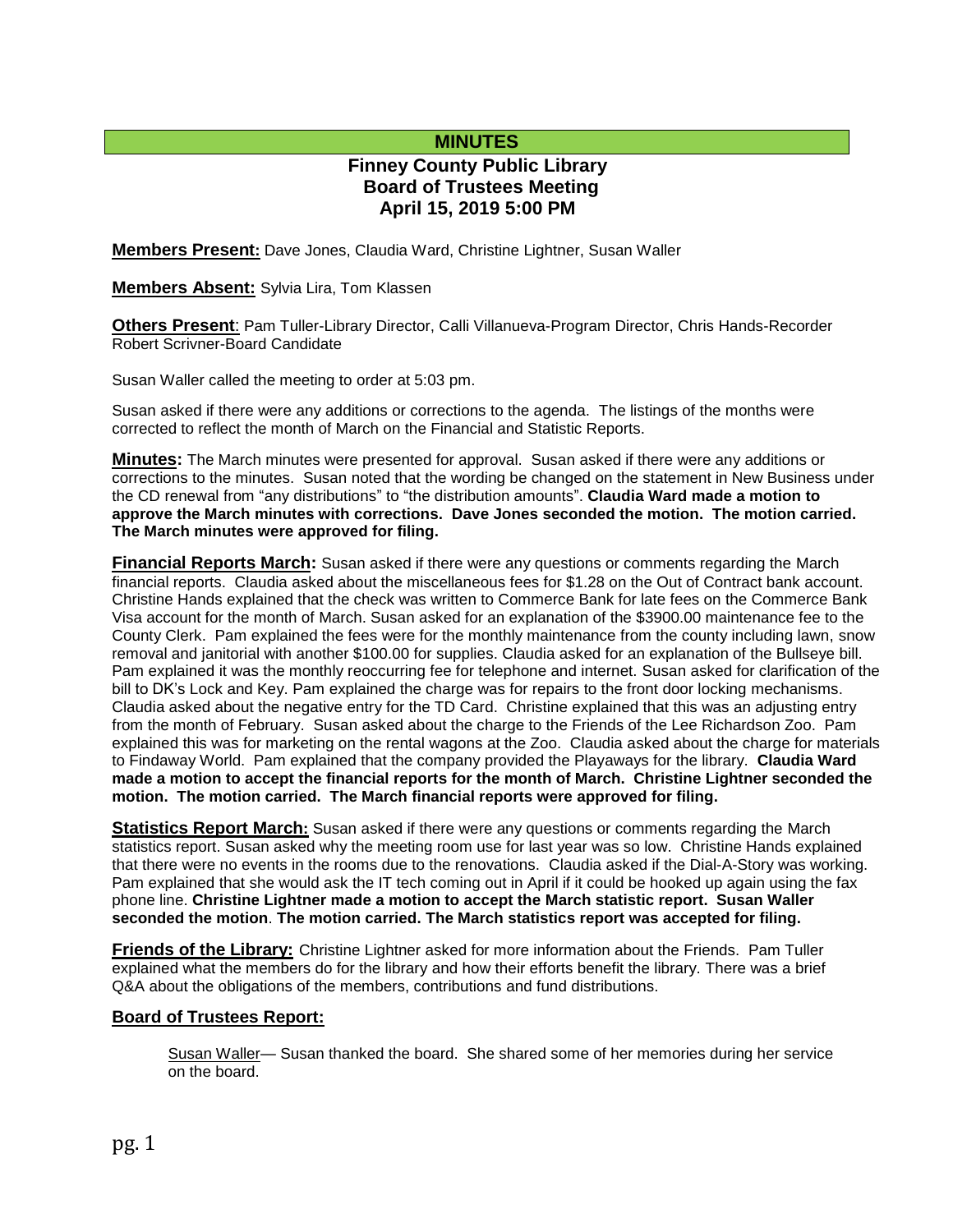# **MINUTES**

# **Finney County Public Library Board of Trustees Meeting April 15, 2019 5:00 PM**

**Members Present:** Dave Jones, Claudia Ward, Christine Lightner, Susan Waller

**Members Absent:** Sylvia Lira, Tom Klassen

**Others Present**: Pam Tuller-Library Director, Calli Villanueva-Program Director, Chris Hands-Recorder Robert Scrivner-Board Candidate

Susan Waller called the meeting to order at 5:03 pm.

Susan asked if there were any additions or corrections to the agenda. The listings of the months were corrected to reflect the month of March on the Financial and Statistic Reports.

**Minutes:** The March minutes were presented for approval. Susan asked if there were any additions or corrections to the minutes. Susan noted that the wording be changed on the statement in New Business under the CD renewal from "any distributions" to "the distribution amounts". **Claudia Ward made a motion to approve the March minutes with corrections. Dave Jones seconded the motion. The motion carried. The March minutes were approved for filing.** 

**Financial Reports March:** Susan asked if there were any questions or comments regarding the March financial reports. Claudia asked about the miscellaneous fees for \$1.28 on the Out of Contract bank account. Christine Hands explained that the check was written to Commerce Bank for late fees on the Commerce Bank Visa account for the month of March. Susan asked for an explanation of the \$3900.00 maintenance fee to the County Clerk. Pam explained the fees were for the monthly maintenance from the county including lawn, snow removal and janitorial with another \$100.00 for supplies. Claudia asked for an explanation of the Bullseye bill. Pam explained it was the monthly reoccurring fee for telephone and internet. Susan asked for clarification of the bill to DK's Lock and Key. Pam explained the charge was for repairs to the front door locking mechanisms. Claudia asked about the negative entry for the TD Card. Christine explained that this was an adjusting entry from the month of February. Susan asked about the charge to the Friends of the Lee Richardson Zoo. Pam explained this was for marketing on the rental wagons at the Zoo. Claudia asked about the charge for materials to Findaway World. Pam explained that the company provided the Playaways for the library. **Claudia Ward made a motion to accept the financial reports for the month of March. Christine Lightner seconded the motion. The motion carried. The March financial reports were approved for filing.**

**Statistics Report March:** Susan asked if there were any questions or comments regarding the March statistics report. Susan asked why the meeting room use for last year was so low. Christine Hands explained that there were no events in the rooms due to the renovations. Claudia asked if the Dial-A-Story was working. Pam explained that she would ask the IT tech coming out in April if it could be hooked up again using the fax phone line. **Christine Lightner made a motion to accept the March statistic report. Susan Waller seconded the motion**. **The motion carried. The March statistics report was accepted for filing.**

**Friends of the Library:** Christine Lightner asked for more information about the Friends. Pam Tuller explained what the members do for the library and how their efforts benefit the library. There was a brief Q&A about the obligations of the members, contributions and fund distributions.

#### **Board of Trustees Report:**

Susan Waller— Susan thanked the board. She shared some of her memories during her service on the board.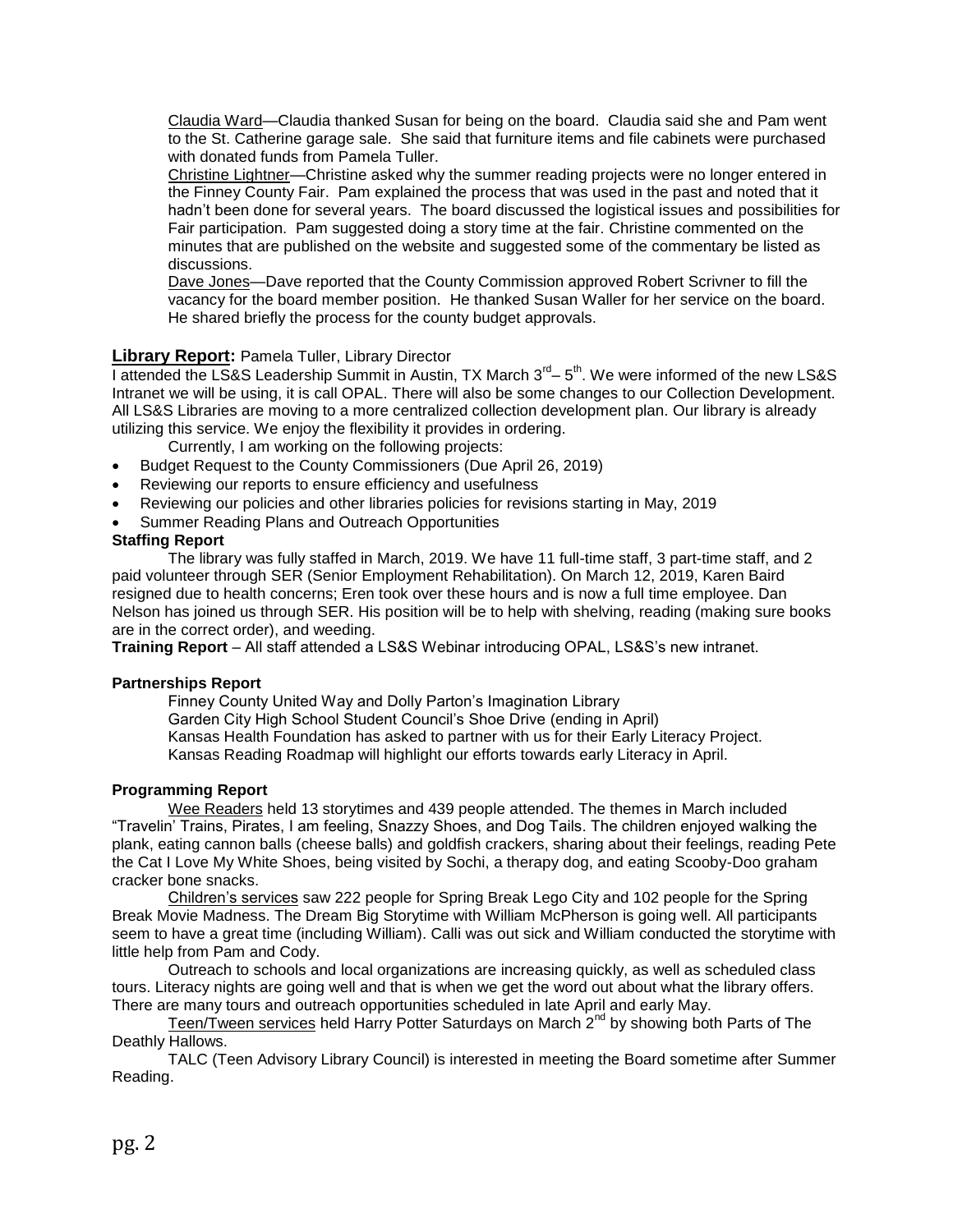Claudia Ward—Claudia thanked Susan for being on the board. Claudia said she and Pam went to the St. Catherine garage sale. She said that furniture items and file cabinets were purchased with donated funds from Pamela Tuller.

Christine Lightner—Christine asked why the summer reading projects were no longer entered in the Finney County Fair. Pam explained the process that was used in the past and noted that it hadn't been done for several years. The board discussed the logistical issues and possibilities for Fair participation. Pam suggested doing a story time at the fair. Christine commented on the minutes that are published on the website and suggested some of the commentary be listed as discussions.

Dave Jones—Dave reported that the County Commission approved Robert Scrivner to fill the vacancy for the board member position. He thanked Susan Waller for her service on the board. He shared briefly the process for the county budget approvals.

### **Library Report:** Pamela Tuller, Library Director

I attended the LS&S Leadership Summit in Austin, TX March  $3^{rd}$  –  $5^{th}$ . We were informed of the new LS&S Intranet we will be using, it is call OPAL. There will also be some changes to our Collection Development. All LS&S Libraries are moving to a more centralized collection development plan. Our library is already utilizing this service. We enjoy the flexibility it provides in ordering.

Currently, I am working on the following projects:

- Budget Request to the County Commissioners (Due April 26, 2019)
- Reviewing our reports to ensure efficiency and usefulness
- Reviewing our policies and other libraries policies for revisions starting in May, 2019
- Summer Reading Plans and Outreach Opportunities

#### **Staffing Report**

The library was fully staffed in March, 2019. We have 11 full-time staff, 3 part-time staff, and 2 paid volunteer through SER (Senior Employment Rehabilitation). On March 12, 2019, Karen Baird resigned due to health concerns; Eren took over these hours and is now a full time employee. Dan Nelson has joined us through SER. His position will be to help with shelving, reading (making sure books are in the correct order), and weeding.

**Training Report** – All staff attended a LS&S Webinar introducing OPAL, LS&S's new intranet.

#### **Partnerships Report**

Finney County United Way and Dolly Parton's Imagination Library Garden City High School Student Council's Shoe Drive (ending in April) Kansas Health Foundation has asked to partner with us for their Early Literacy Project. Kansas Reading Roadmap will highlight our efforts towards early Literacy in April.

#### **Programming Report**

Wee Readers held 13 storytimes and 439 people attended. The themes in March included "Travelin' Trains, Pirates, I am feeling, Snazzy Shoes, and Dog Tails. The children enjoyed walking the plank, eating cannon balls (cheese balls) and goldfish crackers, sharing about their feelings, reading Pete the Cat I Love My White Shoes, being visited by Sochi, a therapy dog, and eating Scooby-Doo graham cracker bone snacks.

Children's services saw 222 people for Spring Break Lego City and 102 people for the Spring Break Movie Madness. The Dream Big Storytime with William McPherson is going well. All participants seem to have a great time (including William). Calli was out sick and William conducted the storytime with little help from Pam and Cody.

Outreach to schools and local organizations are increasing quickly, as well as scheduled class tours. Literacy nights are going well and that is when we get the word out about what the library offers. There are many tours and outreach opportunities scheduled in late April and early May.

Teen/Tween services held Harry Potter Saturdays on March 2<sup>nd</sup> by showing both Parts of The Deathly Hallows.

TALC (Teen Advisory Library Council) is interested in meeting the Board sometime after Summer Reading.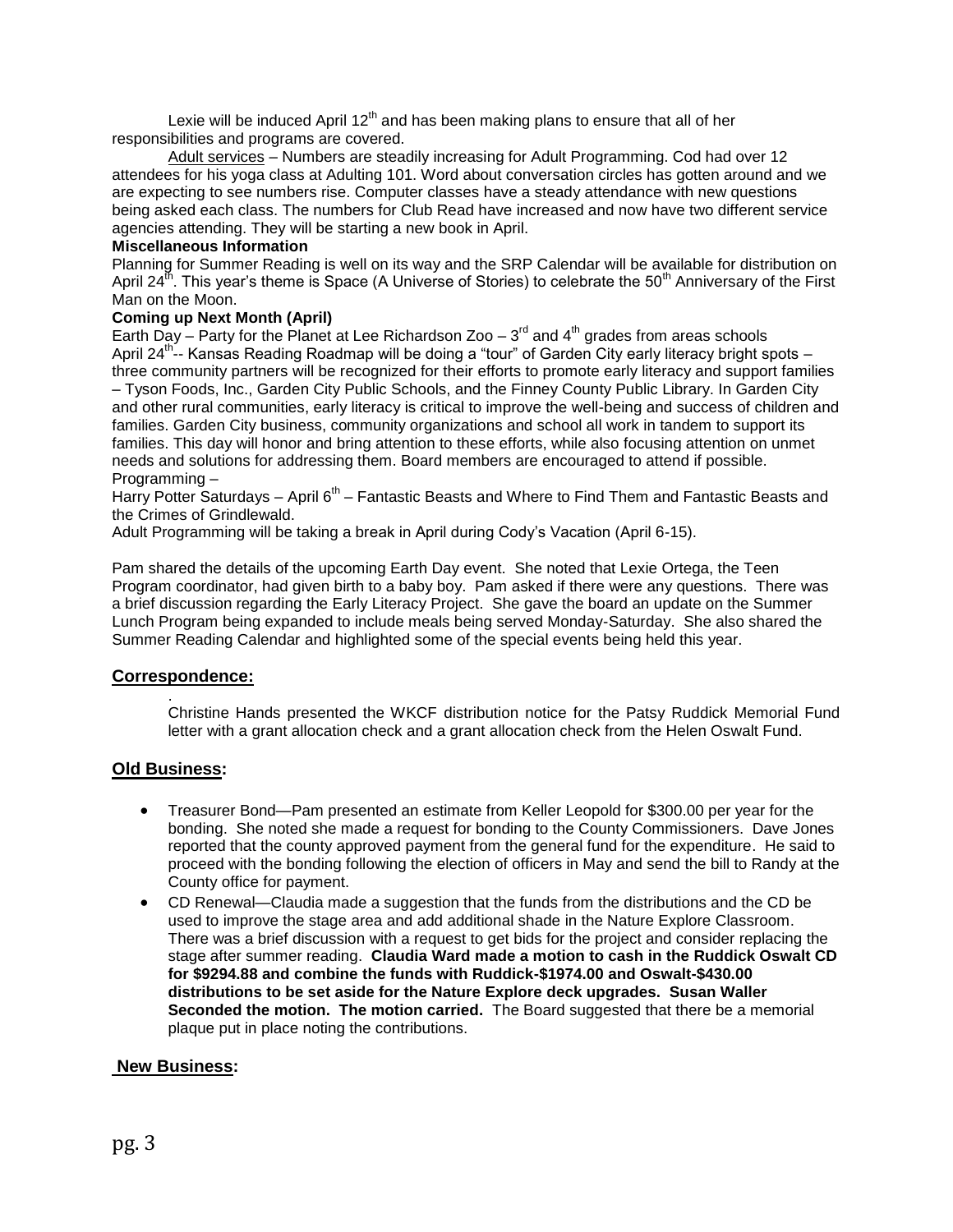Lexie will be induced April  $12<sup>th</sup>$  and has been making plans to ensure that all of her responsibilities and programs are covered.

Adult services - Numbers are steadily increasing for Adult Programming. Cod had over 12 attendees for his yoga class at Adulting 101. Word about conversation circles has gotten around and we are expecting to see numbers rise. Computer classes have a steady attendance with new questions being asked each class. The numbers for Club Read have increased and now have two different service agencies attending. They will be starting a new book in April.

### **Miscellaneous Information**

Planning for Summer Reading is well on its way and the SRP Calendar will be available for distribution on April 24<sup>th</sup>. This year's theme is Space (A Universe of Stories) to celebrate the 50<sup>th</sup> Anniversary of the First Man on the Moon.

### **Coming up Next Month (April)**

Earth Day – Party for the Planet at Lee Richardson Zoo –  $3^{rd}$  and  $4^{th}$  grades from areas schools April 24<sup>th</sup>-- Kansas Reading Roadmap will be doing a "tour" of Garden City early literacy bright spots – three community partners will be recognized for their efforts to promote early literacy and support families – Tyson Foods, Inc., Garden City Public Schools, and the Finney County Public Library. In Garden City and other rural communities, early literacy is critical to improve the well-being and success of children and families. Garden City business, community organizations and school all work in tandem to support its families. This day will honor and bring attention to these efforts, while also focusing attention on unmet needs and solutions for addressing them. Board members are encouraged to attend if possible. Programming –

Harry Potter Saturdays – April 6<sup>th</sup> – Fantastic Beasts and Where to Find Them and Fantastic Beasts and the Crimes of Grindlewald.

Adult Programming will be taking a break in April during Cody's Vacation (April 6-15).

Pam shared the details of the upcoming Earth Day event. She noted that Lexie Ortega, the Teen Program coordinator, had given birth to a baby boy. Pam asked if there were any questions. There was a brief discussion regarding the Early Literacy Project. She gave the board an update on the Summer Lunch Program being expanded to include meals being served Monday-Saturday. She also shared the Summer Reading Calendar and highlighted some of the special events being held this year.

#### **Correspondence:**

Christine Hands presented the WKCF distribution notice for the Patsy Ruddick Memorial Fund letter with a grant allocation check and a grant allocation check from the Helen Oswalt Fund.

## **Old Business:**

.

- Treasurer Bond—Pam presented an estimate from Keller Leopold for \$300.00 per year for the bonding. She noted she made a request for bonding to the County Commissioners. Dave Jones reported that the county approved payment from the general fund for the expenditure. He said to proceed with the bonding following the election of officers in May and send the bill to Randy at the County office for payment.
- CD Renewal—Claudia made a suggestion that the funds from the distributions and the CD be used to improve the stage area and add additional shade in the Nature Explore Classroom. There was a brief discussion with a request to get bids for the project and consider replacing the stage after summer reading. **Claudia Ward made a motion to cash in the Ruddick Oswalt CD for \$9294.88 and combine the funds with Ruddick-\$1974.00 and Oswalt-\$430.00 distributions to be set aside for the Nature Explore deck upgrades. Susan Waller Seconded the motion. The motion carried.** The Board suggested that there be a memorial plaque put in place noting the contributions.

#### **New Business:**